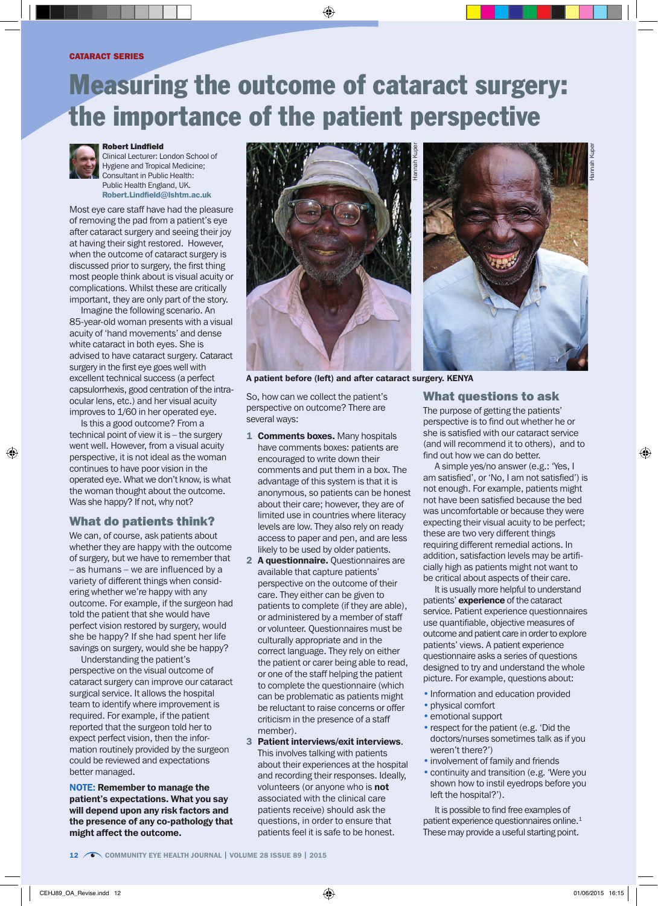# Measuring the outcome of cataract surgery: the importance of the patient perspective



#### Robert Lindfield

Clinical Lecturer: London School of Hygiene and Tropical Medicine; Consultant in Public Health: Public Health England, UK. Robert.Lindfield@lshtm.ac.uk

Most eye care staff have had the pleasure of removing the pad from a patient's eye after cataract surgery and seeing their joy at having their sight restored. However, when the outcome of cataract surgery is discussed prior to surgery, the first thing most people think about is visual acuity or complications. Whilst these are critically important, they are only part of the story.

Imagine the following scenario. An 85-year-old woman presents with a visual acuity of 'hand movements' and dense white cataract in both eyes. She is advised to have cataract surgery. Cataract surgery in the first eye goes well with excellent technical success (a perfect capsulorrhexis, good centration of the intraocular lens, etc.) and her visual acuity improves to 1/60 in her operated eye.

Is this a good outcome? From a technical point of view it is – the surgery went well. However, from a visual acuity perspective, it is not ideal as the woman continues to have poor vision in the operated eye. What we don't know, is what the woman thought about the outcome. Was she happy? If not, why not?

## What do patients think?

We can, of course, ask patients about whether they are happy with the outcome of surgery, but we have to remember that – as humans – we are influenced by a variety of different things when considering whether we're happy with any outcome. For example, if the surgeon had told the patient that she would have perfect vision restored by surgery, would she be happy? If she had spent her life savings on surgery, would she be happy?

Understanding the patient's perspective on the visual outcome of cataract surgery can improve our cataract surgical service. It allows the hospital team to identify where improvement is required. For example, if the patient reported that the surgeon told her to expect perfect vision, then the information routinely provided by the surgeon could be reviewed and expectations better managed.

NOTE: Remember to manage the patient's expectations. What you say will depend upon any risk factors and the presence of any co-pathology that might affect the outcome.



A patient before (left) and after cataract surgery. KENYA

So, how can we collect the patient's perspective on outcome? There are several ways:

- 1 **Comments boxes.** Many hospitals have comments boxes: patients are encouraged to write down their comments and put them in a box. The advantage of this system is that it is anonymous, so patients can be honest about their care; however, they are of limited use in countries where literacy levels are low. They also rely on ready access to paper and pen, and are less likely to be used by older patients.
- 2 A questionnaire. Questionnaires are available that capture patients' perspective on the outcome of their care. They either can be given to patients to complete (if they are able), or administered by a member of staff or volunteer. Questionnaires must be culturally appropriate and in the correct language. They rely on either the patient or carer being able to read, or one of the staff helping the patient to complete the questionnaire (which can be problematic as patients might be reluctant to raise concerns or offer criticism in the presence of a staff member).
- 3 Patient interviews/exit interviews. This involves talking with patients about their experiences at the hospital and recording their responses. Ideally, volunteers (or anyone who is not associated with the clinical care patients receive) should ask the questions, in order to ensure that patients feel it is safe to be honest.

### What questions to ask

The purpose of getting the patients' perspective is to find out whether he or she is satisfied with our cataract service (and will recommend it to others), and to find out how we can do better.

Hannah Kuper

A simple yes/no answer (e.g.: 'Yes, I am satisfied', or 'No, I am not satisfied') is not enough. For example, patients might not have been satisfied because the bed was uncomfortable or because they were expecting their visual acuity to be perfect; these are two very different things requiring different remedial actions. In addition, satisfaction levels may be artificially high as patients might not want to be critical about aspects of their care.

It is usually more helpful to understand patients' **experience** of the cataract service. Patient experience questionnaires use quantifiable, objective measures of outcome and patient care in order to explore patients' views. A patient experience questionnaire asks a series of questions designed to try and understand the whole picture. For example, questions about:

- Information and education provided
- physical comfort
- emotional support
- respect for the patient (e.g. 'Did the doctors/nurses sometimes talk as if you weren't there?')
- involvement of family and friends
- continuity and transition (e.g. 'Were you shown how to instil eyedrops before you left the hospital?').

It is possible to find free examples of patient experience questionnaires online.<sup>1</sup> These may provide a useful starting point.